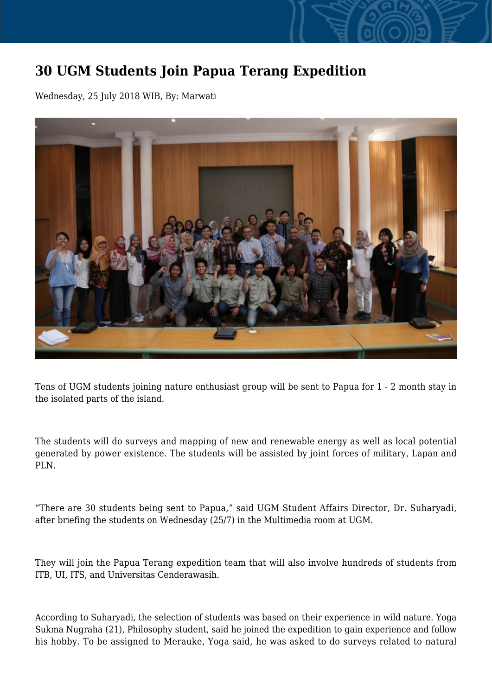## **30 UGM Students Join Papua Terang Expedition**

Wednesday, 25 July 2018 WIB, By: Marwati



Tens of UGM students joining nature enthusiast group will be sent to Papua for 1 - 2 month stay in the isolated parts of the island.

The students will do surveys and mapping of new and renewable energy as well as local potential generated by power existence. The students will be assisted by joint forces of military, Lapan and PLN.

"There are 30 students being sent to Papua," said UGM Student Affairs Director, Dr. Suharyadi, after briefing the students on Wednesday (25/7) in the Multimedia room at UGM.

They will join the Papua Terang expedition team that will also involve hundreds of students from ITB, UI, ITS, and Universitas Cenderawasih.

According to Suharyadi, the selection of students was based on their experience in wild nature. Yoga Sukma Nugraha (21), Philosophy student, said he joined the expedition to gain experience and follow his hobby. To be assigned to Merauke, Yoga said, he was asked to do surveys related to natural